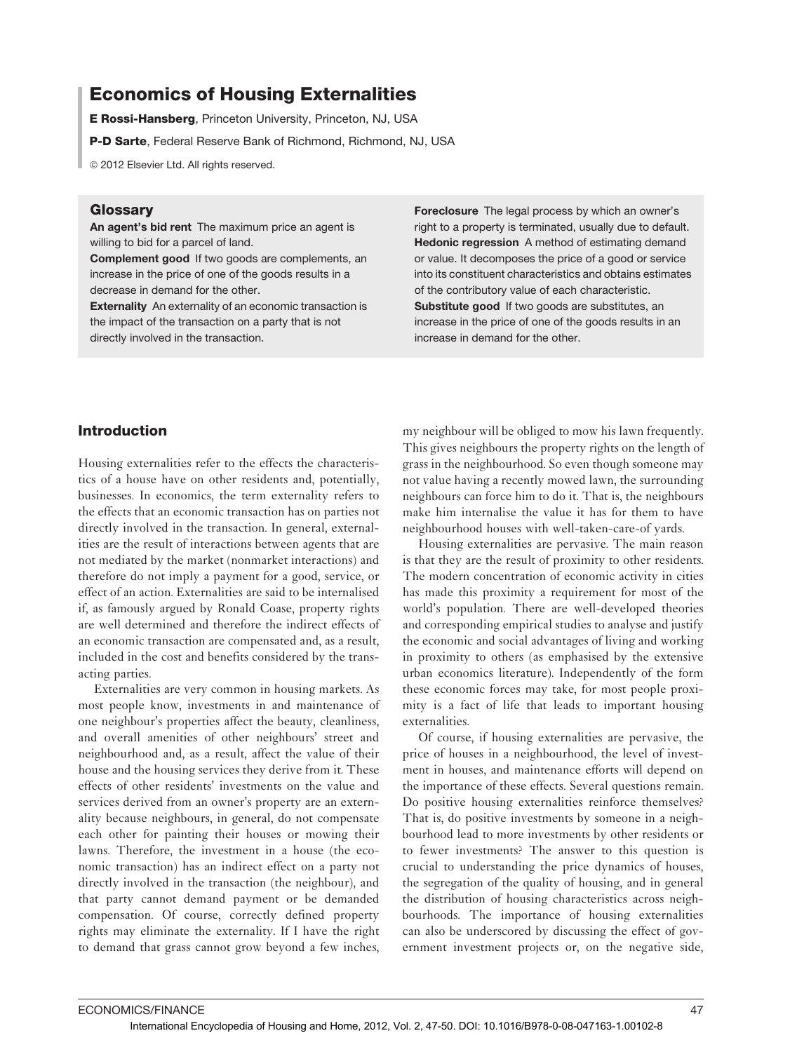# Economics of Housing Externalities

E Rossi-Hansberg, Princeton University, Princeton, NJ, USA

P-D Sarte, Federal Reserve Bank of Richmond, Richmond, NJ, USA

<sup>©</sup> 2012 Elsevier Ltd. All rights reserved.

## **Glossarv**

An agent's bid rent The maximum price an agent is willing to bid for a parcel of land.

Complement good If two goods are complements, an increase in the price of one of the goods results in a decrease in demand for the other.

Externality An externality of an economic transaction is the impact of the transaction on a party that is not directly involved in the transaction.

Foreclosure The legal process by which an owner's right to a property is terminated, usually due to default. Hedonic regression A method of estimating demand or value. It decomposes the price of a good or service into its constituent characteristics and obtains estimates of the contributory value of each characteristic. Substitute good If two goods are substitutes, an increase in the price of one of the goods results in an increase in demand for the other.

## Introduction

Housing externalities refer to the effects the characteristics of a house have on other residents and, potentially, businesses. In economics, the term externality refers to the effects that an economic transaction has on parties not directly involved in the transaction. In general, externalities are the result of interactions between agents that are not mediated by the market (nonmarket interactions) and therefore do not imply a payment for a good, service, or effect of an action. Externalities are said to be internalised if, as famously argued by Ronald Coase, property rights are well determined and therefore the indirect effects of an economic transaction are compensated and, as a result, included in the cost and benefits considered by the transacting parties.

Externalities are very common in housing markets. As most people know, investments in and maintenance of one neighbour's properties affect the beauty, cleanliness, and overall amenities of other neighbours' street and neighbourhood and, as a result, affect the value of their house and the housing services they derive from it. These effects of other residents' investments on the value and services derived from an owner's property are an externality because neighbours, in general, do not compensate each other for painting their houses or mowing their lawns. Therefore, the investment in a house (the economic transaction) has an indirect effect on a party not directly involved in the transaction (the neighbour), and that party cannot demand payment or be demanded compensation. Of course, correctly defined property rights may eliminate the externality. If I have the right to demand that grass cannot grow beyond a few inches,

my neighbour will be obliged to mow his lawn frequently. This gives neighbours the property rights on the length of grass in the neighbourhood. So even though someone may not value having a recently mowed lawn, the surrounding neighbours can force him to do it. That is, the neighbours make him internalise the value it has for them to have neighbourhood houses with well-taken-care-of yards.

Housing externalities are pervasive. The main reason is that they are the result of proximity to other residents. The modern concentration of economic activity in cities has made this proximity a requirement for most of the world's population. There are well-developed theories and corresponding empirical studies to analyse and justify the economic and social advantages of living and working in proximity to others (as emphasised by the extensive urban economics literature). Independently of the form these economic forces may take, for most people proximity is a fact of life that leads to important housing externalities.

Of course, if housing externalities are pervasive, the price of houses in a neighbourhood, the level of investment in houses, and maintenance efforts will depend on the importance of these effects. Several questions remain. Do positive housing externalities reinforce themselves? That is, do positive investments by someone in a neighbourhood lead to more investments by other residents or to fewer investments? The answer to this question is crucial to understanding the price dynamics of houses, the segregation of the quality of housing, and in general the distribution of housing characteristics across neighbourhoods. The importance of housing externalities can also be underscored by discussing the effect of government investment projects or, on the negative side,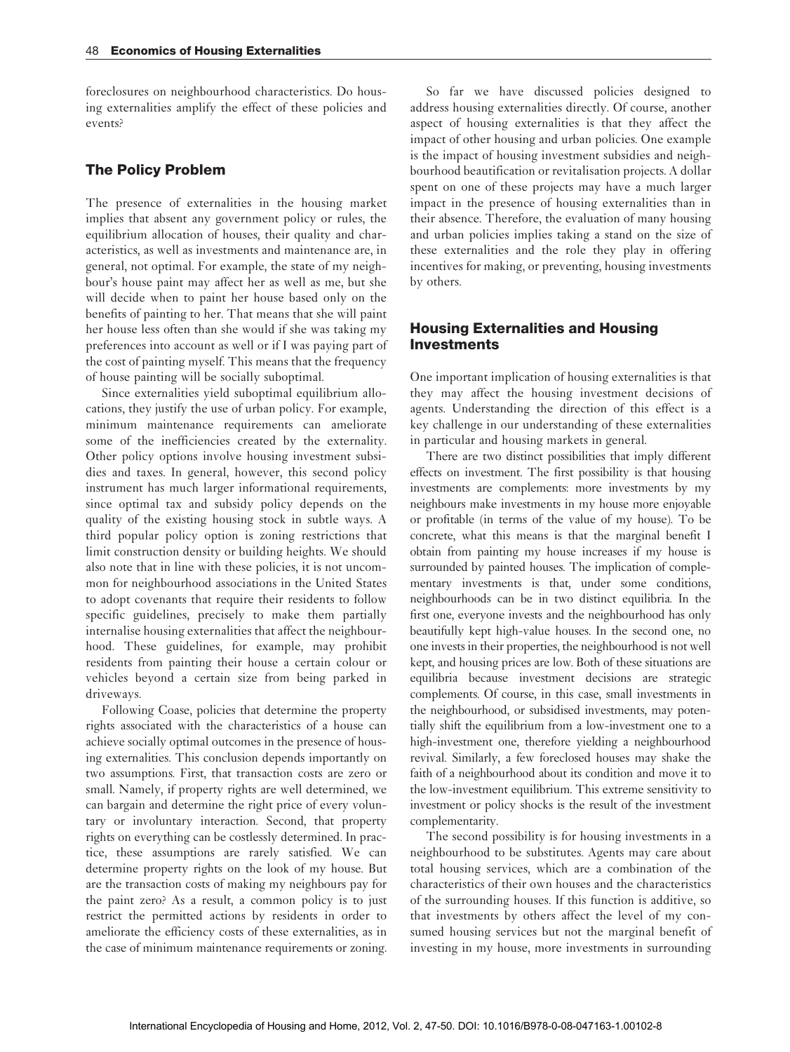foreclosures on neighbourhood characteristics. Do housing externalities amplify the effect of these policies and events?

#### The Policy Problem

The presence of externalities in the housing market implies that absent any government policy or rules, the equilibrium allocation of houses, their quality and characteristics, as well as investments and maintenance are, in general, not optimal. For example, the state of my neighbour's house paint may affect her as well as me, but she will decide when to paint her house based only on the benefits of painting to her. That means that she will paint her house less often than she would if she was taking my preferences into account as well or if I was paying part of the cost of painting myself. This means that the frequency of house painting will be socially suboptimal.

Since externalities yield suboptimal equilibrium allocations, they justify the use of urban policy. For example, minimum maintenance requirements can ameliorate some of the inefficiencies created by the externality. Other policy options involve housing investment subsidies and taxes. In general, however, this second policy instrument has much larger informational requirements, since optimal tax and subsidy policy depends on the quality of the existing housing stock in subtle ways. A third popular policy option is zoning restrictions that limit construction density or building heights. We should also note that in line with these policies, it is not uncommon for neighbourhood associations in the United States to adopt covenants that require their residents to follow specific guidelines, precisely to make them partially internalise housing externalities that affect the neighbourhood. These guidelines, for example, may prohibit residents from painting their house a certain colour or vehicles beyond a certain size from being parked in driveways.

Following Coase, policies that determine the property rights associated with the characteristics of a house can achieve socially optimal outcomes in the presence of housing externalities. This conclusion depends importantly on two assumptions. First, that transaction costs are zero or small. Namely, if property rights are well determined, we can bargain and determine the right price of every voluntary or involuntary interaction. Second, that property rights on everything can be costlessly determined. In practice, these assumptions are rarely satisfied. We can determine property rights on the look of my house. But are the transaction costs of making my neighbours pay for the paint zero? As a result, a common policy is to just restrict the permitted actions by residents in order to ameliorate the efficiency costs of these externalities, as in the case of minimum maintenance requirements or zoning.

So far we have discussed policies designed to address housing externalities directly. Of course, another aspect of housing externalities is that they affect the impact of other housing and urban policies. One example is the impact of housing investment subsidies and neighbourhood beautification or revitalisation projects. A dollar spent on one of these projects may have a much larger impact in the presence of housing externalities than in their absence. Therefore, the evaluation of many housing and urban policies implies taking a stand on the size of these externalities and the role they play in offering incentives for making, or preventing, housing investments by others.

### Housing Externalities and Housing Investments

One important implication of housing externalities is that they may affect the housing investment decisions of agents. Understanding the direction of this effect is a key challenge in our understanding of these externalities in particular and housing markets in general.

There are two distinct possibilities that imply different effects on investment. The first possibility is that housing investments are complements: more investments by my neighbours make investments in my house more enjoyable or profitable (in terms of the value of my house). To be concrete, what this means is that the marginal benefit I obtain from painting my house increases if my house is surrounded by painted houses. The implication of complementary investments is that, under some conditions, neighbourhoods can be in two distinct equilibria. In the first one, everyone invests and the neighbourhood has only beautifully kept high-value houses. In the second one, no one invests in their properties, the neighbourhood is not well kept, and housing prices are low. Both of these situations are equilibria because investment decisions are strategic complements. Of course, in this case, small investments in the neighbourhood, or subsidised investments, may potentially shift the equilibrium from a low-investment one to a high-investment one, therefore yielding a neighbourhood revival. Similarly, a few foreclosed houses may shake the faith of a neighbourhood about its condition and move it to the low-investment equilibrium. This extreme sensitivity to investment or policy shocks is the result of the investment complementarity.

The second possibility is for housing investments in a neighbourhood to be substitutes. Agents may care about total housing services, which are a combination of the characteristics of their own houses and the characteristics of the surrounding houses. If this function is additive, so that investments by others affect the level of my consumed housing services but not the marginal benefit of investing in my house, more investments in surrounding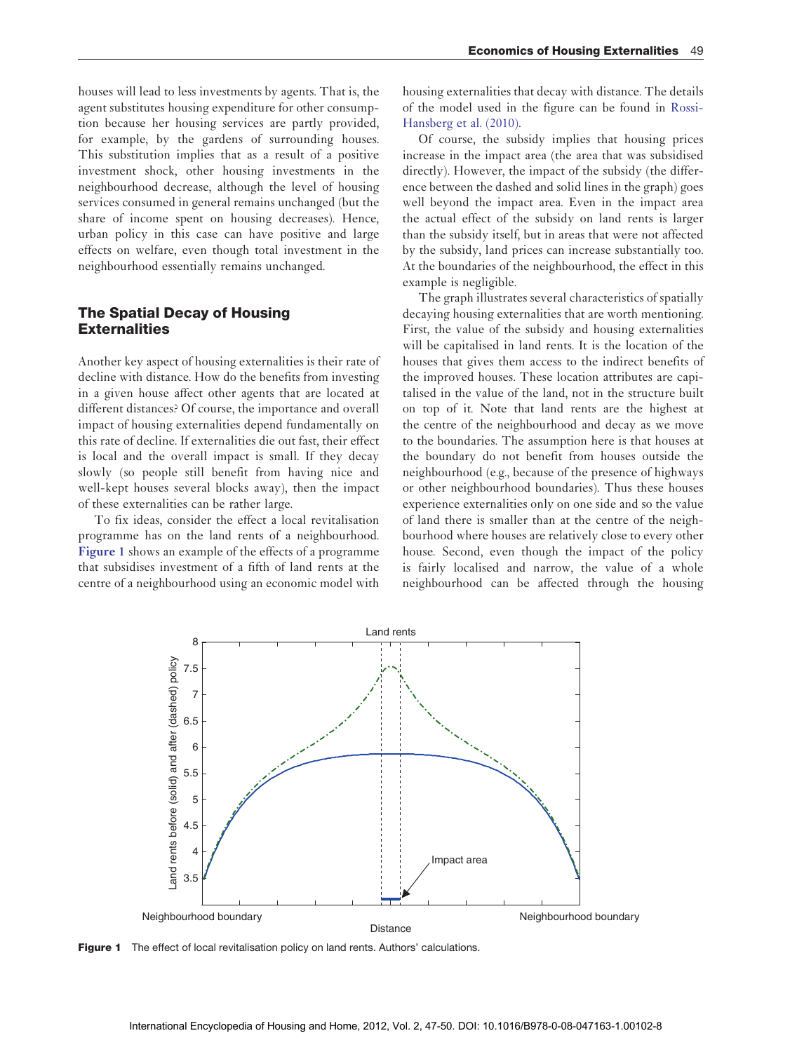houses will lead to less investments by agents. That is, the agent substitutes housing expenditure for other consumption because her housing services are partly provided, for example, by the gardens of surrounding houses. This substitution implies that as a result of a positive investment shock, other housing investments in the neighbourhood decrease, although the level of housing services consumed in general remains unchanged (but the share of income spent on housing decreases). Hence, urban policy in this case can have positive and large effects on welfare, even though total investment in the neighbourhood essentially remains unchanged.

## The Spatial Decay of Housing **Externalities**

Another key aspect of housing externalities is their rate of decline with distance. How do the benefits from investing in a given house affect other agents that are located at different distances? Of course, the importance and overall impact of housing externalities depend fundamentally on this rate of decline. If externalities die out fast, their effect is local and the overall impact is small. If they decay slowly (so people still benefit from having nice and well-kept houses several blocks away), then the impact of these externalities can be rather large.

To fix ideas, consider the effect a local revitalisation programme has on the land rents of a neighbourhood. **Figure 1** shows an example of the effects of a programme that subsidises investment of a fifth of land rents at the centre of a neighbourhood using an economic model with housing externalities that decay with distance. The details of the model used in the figure can be found in [Rossi-](#page-3-0)[Hansberg](#page-3-0) et al. (2010).

Of course, the subsidy implies that housing prices increase in the impact area (the area that was subsidised directly). However, the impact of the subsidy (the difference between the dashed and solid lines in the graph) goes well beyond the impact area. Even in the impact area the actual effect of the subsidy on land rents is larger than the subsidy itself, but in areas that were not affected by the subsidy, land prices can increase substantially too. At the boundaries of the neighbourhood, the effect in this example is negligible.

The graph illustrates several characteristics of spatially decaying housing externalities that are worth mentioning. First, the value of the subsidy and housing externalities will be capitalised in land rents. It is the location of the houses that gives them access to the indirect benefits of the improved houses. These location attributes are capitalised in the value of the land, not in the structure built on top of it. Note that land rents are the highest at the centre of the neighbourhood and decay as we move to the boundaries. The assumption here is that houses at the boundary do not benefit from houses outside the neighbourhood (e.g., because of the presence of highways or other neighbourhood boundaries). Thus these houses experience externalities only on one side and so the value of land there is smaller than at the centre of the neighbourhood where houses are relatively close to every other house. Second, even though the impact of the policy is fairly localised and narrow, the value of a whole neighbourhood can be affected through the housing



Figure 1 The effect of local revitalisation policy on land rents. Authors' calculations.